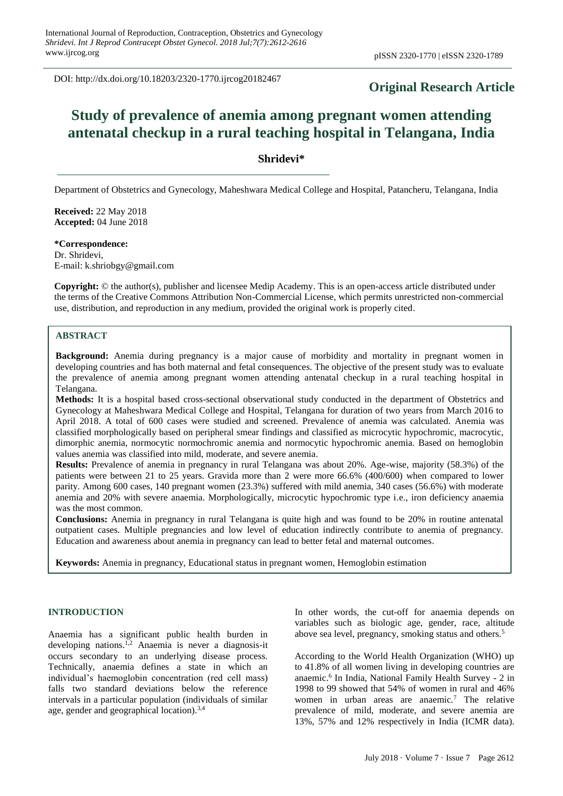DOI: http://dx.doi.org/10.18203/2320-1770.ijrcog20182467

# **Original Research Article**

# **Study of prevalence of anemia among pregnant women attending antenatal checkup in a rural teaching hospital in Telangana, India**

# **Shridevi\***

Department of Obstetrics and Gynecology, Maheshwara Medical College and Hospital, Patancheru, Telangana, India

**Received:** 22 May 2018 **Accepted:** 04 June 2018

**\*Correspondence:** Dr. Shridevi, E-mail: k.shriobgy@gmail.com

**Copyright:** © the author(s), publisher and licensee Medip Academy. This is an open-access article distributed under the terms of the Creative Commons Attribution Non-Commercial License, which permits unrestricted non-commercial use, distribution, and reproduction in any medium, provided the original work is properly cited.

# **ABSTRACT**

**Background:** Anemia during pregnancy is a major cause of morbidity and mortality in pregnant women in developing countries and has both maternal and fetal consequences. The objective of the present study was to evaluate the prevalence of anemia among pregnant women attending antenatal checkup in a rural teaching hospital in Telangana.

**Methods:** It is a hospital based cross-sectional observational study conducted in the department of Obstetrics and Gynecology at Maheshwara Medical College and Hospital, Telangana for duration of two years from March 2016 to April 2018. A total of 600 cases were studied and screened. Prevalence of anemia was calculated. Anemia was classified morphologically based on peripheral smear findings and classified as microcytic hypochromic, macrocytic, dimorphic anemia, normocytic normochromic anemia and normocytic hypochromic anemia. Based on hemoglobin values anemia was classified into mild, moderate, and severe anemia.

**Results:** Prevalence of anemia in pregnancy in rural Telangana was about 20%. Age-wise, majority (58.3%) of the patients were between 21 to 25 years. Gravida more than 2 were more 66.6% (400/600) when compared to lower parity. Among 600 cases, 140 pregnant women (23.3%) suffered with mild anemia, 340 cases (56.6%) with moderate anemia and 20% with severe anaemia. Morphologically, microcytic hypochromic type i.e., iron deficiency anaemia was the most common.

**Conclusions:** Anemia in pregnancy in rural Telangana is quite high and was found to be 20% in routine antenatal outpatient cases. Multiple pregnancies and low level of education indirectly contribute to anemia of pregnancy. Education and awareness about anemia in pregnancy can lead to better fetal and maternal outcomes.

**Keywords:** Anemia in pregnancy, Educational status in pregnant women, Hemoglobin estimation

#### **INTRODUCTION**

Anaemia has a significant public health burden in developing nations.1,2 Anaemia is never a diagnosis-it occurs secondary to an underlying disease process. Technically, anaemia defines a state in which an individual's haemoglobin concentration (red cell mass) falls two standard deviations below the reference intervals in a particular population (individuals of similar age, gender and geographical location).<sup>3,4</sup>

In other words, the cut-off for anaemia depends on variables such as biologic age, gender, race, altitude above sea level, pregnancy, smoking status and others.<sup>5</sup>

According to the World Health Organization (WHO) up to 41.8% of all women living in developing countries are anaemic. 6 In India, National Family Health Survey - 2 in 1998 to 99 showed that 54% of women in rural and 46% women in urban areas are anaemic.<sup>7</sup> The relative prevalence of mild, moderate, and severe anemia are 13%, 57% and 12% respectively in India (ICMR data).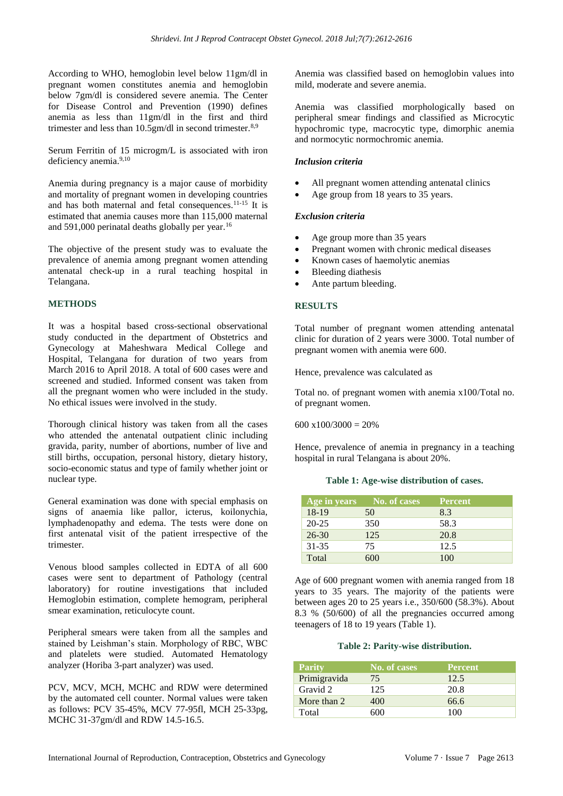According to WHO, hemoglobin level below 11gm/dl in pregnant women constitutes anemia and hemoglobin below 7gm/dl is considered severe anemia. The Center for Disease Control and Prevention (1990) defines anemia as less than 11gm/dl in the first and third trimester and less than 10.5gm/dl in second trimester.<sup>8,9</sup>

Serum Ferritin of 15 microgm/L is associated with iron deficiency anemia.<sup>9,10</sup>

Anemia during pregnancy is a major cause of morbidity and mortality of pregnant women in developing countries and has both maternal and fetal consequences.11-15 It is estimated that anemia causes more than 115,000 maternal and 591,000 perinatal deaths globally per year.<sup>16</sup>

The objective of the present study was to evaluate the prevalence of anemia among pregnant women attending antenatal check-up in a rural teaching hospital in Telangana.

# **METHODS**

It was a hospital based cross-sectional observational study conducted in the department of Obstetrics and Gynecology at Maheshwara Medical College and Hospital, Telangana for duration of two years from March 2016 to April 2018. A total of 600 cases were and screened and studied. Informed consent was taken from all the pregnant women who were included in the study. No ethical issues were involved in the study.

Thorough clinical history was taken from all the cases who attended the antenatal outpatient clinic including gravida, parity, number of abortions, number of live and still births, occupation, personal history, dietary history, socio-economic status and type of family whether joint or nuclear type.

General examination was done with special emphasis on signs of anaemia like pallor, icterus, koilonychia, lymphadenopathy and edema. The tests were done on first antenatal visit of the patient irrespective of the trimester.

Venous blood samples collected in EDTA of all 600 cases were sent to department of Pathology (central laboratory) for routine investigations that included Hemoglobin estimation, complete hemogram, peripheral smear examination, reticulocyte count.

Peripheral smears were taken from all the samples and stained by Leishman's stain. Morphology of RBC, WBC and platelets were studied. Automated Hematology analyzer (Horiba 3-part analyzer) was used.

PCV, MCV, MCH, MCHC and RDW were determined by the automated cell counter. Normal values were taken as follows: PCV 35-45%, MCV 77-95fl, MCH 25-33pg, MCHC 31-37gm/dl and RDW 14.5-16.5.

Anemia was classified based on hemoglobin values into mild, moderate and severe anemia.

Anemia was classified morphologically based on peripheral smear findings and classified as Microcytic hypochromic type, macrocytic type, dimorphic anemia and normocytic normochromic anemia.

## *Inclusion criteria*

- All pregnant women attending antenatal clinics
- Age group from 18 years to 35 years.

#### *Exclusion criteria*

- Age group more than 35 years
- Pregnant women with chronic medical diseases
- Known cases of haemolytic anemias
- Bleeding diathesis
- Ante partum bleeding.

#### **RESULTS**

Total number of pregnant women attending antenatal clinic for duration of 2 years were 3000. Total number of pregnant women with anemia were 600.

Hence, prevalence was calculated as

Total no. of pregnant women with anemia x100/Total no. of pregnant women.

 $600 \times 100 / 3000 = 20%$ 

Hence, prevalence of anemia in pregnancy in a teaching hospital in rural Telangana is about 20%.

|  |  | Table 1: Age-wise distribution of cases. |  |  |
|--|--|------------------------------------------|--|--|
|--|--|------------------------------------------|--|--|

| Age in years | No. of cases | <b>Percent</b> |
|--------------|--------------|----------------|
| 18-19        | 50           | 8.3            |
| $20 - 25$    | 350          | 58.3           |
| $26 - 30$    | 125          | 20.8           |
| 31-35        | 75           | 12.5           |
| Total        | 600          | 100            |

Age of 600 pregnant women with anemia ranged from 18 years to 35 years. The majority of the patients were between ages 20 to 25 years i.e., 350/600 (58.3%). About 8.3 % (50/600) of all the pregnancies occurred among teenagers of 18 to 19 years (Table 1).

#### **Table 2: Parity-wise distribution.**

| <b>Parity</b> | No. of cases | <b>Percent</b> |
|---------------|--------------|----------------|
| Primigravida  | 75           | 12.5           |
| Gravid 2      | 125          | 20.8           |
| More than 2   | 400          | 66.6           |
| Total         | 600          | 100            |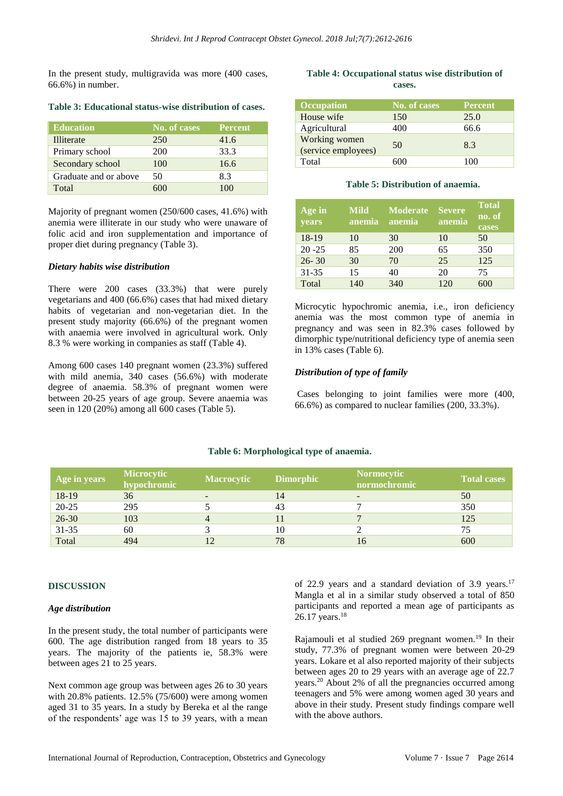In the present study, multigravida was more (400 cases, 66.6%) in number.

| <b>Education</b>      | No. of cases | <b>Percent</b> |
|-----------------------|--------------|----------------|
| Illiterate            | 250          | 41.6           |
| Primary school        | 200          | 33.3           |
| Secondary school      | 100          | 16.6           |
| Graduate and or above | 50           | 8.3            |
| Total                 |              | 1 በበ           |

**Table 3: Educational status-wise distribution of cases.**

Majority of pregnant women (250/600 cases, 41.6%) with anemia were illiterate in our study who were unaware of folic acid and iron supplementation and importance of proper diet during pregnancy (Table 3).

#### *Dietary habits wise distribution*

There were 200 cases (33.3%) that were purely vegetarians and 400 (66.6%) cases that had mixed dietary habits of vegetarian and non-vegetarian diet. In the present study majority (66.6%) of the pregnant women with anaemia were involved in agricultural work. Only 8.3 % were working in companies as staff (Table 4).

Among 600 cases 140 pregnant women (23.3%) suffered with mild anemia, 340 cases (56.6%) with moderate degree of anaemia. 58.3% of pregnant women were between 20-25 years of age group. Severe anaemia was seen in 120 (20%) among all 600 cases (Table 5).

# **Table 4: Occupational status wise distribution of cases.**

| <b>Occupation</b>                    | No. of cases | <b>Percent</b> |
|--------------------------------------|--------------|----------------|
| House wife                           | 150          | 25.0           |
| Agricultural                         | 400          | 66.6           |
| Working women<br>(service employees) | 50           | 8.3            |
| Total                                |              | 100            |

#### **Table 5: Distribution of anaemia.**

| Age in<br>years | <b>Mild</b><br>anemia <sup>1</sup> | <b>Moderate</b><br>anemia | <b>Severe</b><br>anem <u>ia</u> | <b>Total</b><br>no. of<br>cases |
|-----------------|------------------------------------|---------------------------|---------------------------------|---------------------------------|
| 18-19           | 10                                 | 30                        | 10                              | 50                              |
| $20 - 25$       | 85                                 | 200                       | 65                              | 350                             |
| $26 - 30$       | 30                                 | 70                        | 25                              | 125                             |
| $31 - 35$       | 15                                 | 40                        | 20                              | 75                              |
| Total           | 140                                | 340                       | 120                             | 600                             |

Microcytic hypochromic anemia, i.e., iron deficiency anemia was the most common type of anemia in pregnancy and was seen in 82.3% cases followed by dimorphic type/nutritional deficiency type of anemia seen in 13% cases (Table 6).

#### *Distribution of type of family*

Cases belonging to joint families were more (400, 66.6%) as compared to nuclear families (200, 33.3%).

| Age in years | <b>Microcytic</b><br>hypochromic | Macrocytic | <b>Dimorphic</b> | <b>Normocytic</b><br>normochromic | <b>Total cases</b> |
|--------------|----------------------------------|------------|------------------|-----------------------------------|--------------------|
| 18-19        | 36                               |            | 14               | -                                 | 50                 |
| $20 - 25$    | 295                              |            | 43               |                                   | 350                |
| $26 - 30$    | 103                              |            |                  |                                   | 125                |
| $31 - 35$    | 60                               |            | 10               |                                   | 75                 |
| Total        | 494                              |            | 78               | 16                                | 600                |

#### **Table 6: Morphological type of anaemia.**

#### **DISCUSSION**

#### *Age distribution*

In the present study, the total number of participants were 600. The age distribution ranged from 18 years to 35 years. The majority of the patients ie, 58.3% were between ages 21 to 25 years.

Next common age group was between ages 26 to 30 years with 20.8% patients. 12.5% (75/600) were among women aged 31 to 35 years. In a study by Bereka et al the range of the respondents' age was 15 to 39 years, with a mean of 22.9 years and a standard deviation of 3.9 years.<sup>17</sup> Mangla et al in a similar study observed a total of 850 participants and reported a mean age of participants as 26.17 years.<sup>18</sup>

Rajamouli et al studied 269 pregnant women.<sup>19</sup> In their study, 77.3% of pregnant women were between 20-29 years. Lokare et al also reported majority of their subjects between ages 20 to 29 years with an average age of 22.7 years.<sup>20</sup> About 2% of all the pregnancies occurred among teenagers and 5% were among women aged 30 years and above in their study. Present study findings compare well with the above authors.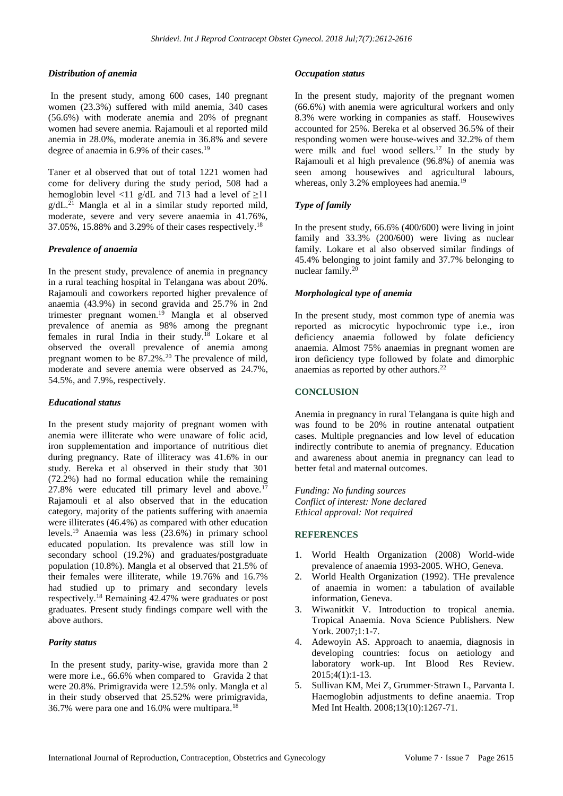## *Distribution of anemia*

In the present study, among 600 cases, 140 pregnant women (23.3%) suffered with mild anemia, 340 cases (56.6%) with moderate anemia and 20% of pregnant women had severe anemia. Rajamouli et al reported mild anemia in 28.0%, moderate anemia in 36.8% and severe degree of anaemia in 6.9% of their cases.<sup>19</sup>

Taner et al observed that out of total 1221 women had come for delivery during the study period, 508 had a hemoglobin level <11 g/dL and 713 had a level of  $\geq$ 11  $g/dL$ <sup>21</sup> Mangla et al in a similar study reported mild, moderate, severe and very severe anaemia in 41.76%, 37.05%, 15.88% and 3.29% of their cases respectively. 18

#### *Prevalence of anaemia*

In the present study, prevalence of anemia in pregnancy in a rural teaching hospital in Telangana was about 20%. Rajamouli and coworkers reported higher prevalence of anaemia (43.9%) in second gravida and 25.7% in 2nd trimester pregnant women.<sup>19</sup> Mangla et al observed prevalence of anemia as 98% among the pregnant females in rural India in their study.<sup>18</sup> Lokare et al observed the overall prevalence of anemia among pregnant women to be  $87.2\%$ .<sup>20</sup> The prevalence of mild, moderate and severe anemia were observed as 24.7%, 54.5%, and 7.9%, respectively.

#### *Educational status*

In the present study majority of pregnant women with anemia were illiterate who were unaware of folic acid, iron supplementation and importance of nutritious diet during pregnancy. Rate of illiteracy was 41.6% in our study. Bereka et al observed in their study that 301 (72.2%) had no formal education while the remaining 27.8% were educated till primary level and above.<sup>17</sup> Rajamouli et al also observed that in the education category, majority of the patients suffering with anaemia were illiterates (46.4%) as compared with other education levels.<sup>19</sup> Anaemia was less (23.6%) in primary school educated population. Its prevalence was still low in secondary school (19.2%) and graduates/postgraduate population (10.8%). Mangla et al observed that 21.5% of their females were illiterate, while 19.76% and 16.7% had studied up to primary and secondary levels respectively.<sup>18</sup> Remaining 42.47% were graduates or post graduates. Present study findings compare well with the above authors.

#### *Parity status*

In the present study, parity-wise, gravida more than 2 were more i.e., 66.6% when compared to Gravida 2 that were 20.8%. Primigravida were 12.5% only. Mangla et al in their study observed that 25.52% were primigravida, 36.7% were para one and 16.0% were multipara.<sup>18</sup>

#### *Occupation status*

In the present study, majority of the pregnant women (66.6%) with anemia were agricultural workers and only 8.3% were working in companies as staff. Housewives accounted for 25%. Bereka et al observed 36.5% of their responding women were house-wives and 32.2% of them were milk and fuel wood sellers.<sup>17</sup> In the study by Rajamouli et al high prevalence (96.8%) of anemia was seen among housewives and agricultural labours, whereas, only 3.2% employees had anemia.<sup>19</sup>

# *Type of family*

In the present study, 66.6% (400/600) were living in joint family and 33.3% (200/600) were living as nuclear family. Lokare et al also observed similar findings of 45.4% belonging to joint family and 37.7% belonging to nuclear family.<sup>20</sup>

#### *Morphological type of anemia*

In the present study, most common type of anemia was reported as microcytic hypochromic type i.e., iron deficiency anaemia followed by folate deficiency anaemia. Almost 75% anaemias in pregnant women are iron deficiency type followed by folate and dimorphic anaemias as reported by other authors.<sup>22</sup>

#### **CONCLUSION**

Anemia in pregnancy in rural Telangana is quite high and was found to be 20% in routine antenatal outpatient cases. Multiple pregnancies and low level of education indirectly contribute to anemia of pregnancy. Education and awareness about anemia in pregnancy can lead to better fetal and maternal outcomes.

*Funding: No funding sources Conflict of interest: None declared Ethical approval: Not required*

# **REFERENCES**

- 1. World Health Organization (2008) World-wide prevalence of anaemia 1993-2005. WHO, Geneva.
- 2. World Health Organization (1992). TНe prevalence of anaemia in women: a tabulation of available information, Geneva.
- 3. Wiwanitkit V. Introduction to tropical anemia. Tropical Anaemia. Nova Science Publishers. New York. 2007;1:1-7.
- 4. Adewoyin AS. Approach to anaemia, diagnosis in developing countries: focus on aetiology and laboratory work-up. Int Blood Res Review. 2015;4(1):1-13.
- 5. Sullivan KM, Mei Z, Grummer‐Strawn L, Parvanta I. Haemoglobin adjustments to define anaemia. Trop Med Int Health. 2008;13(10):1267-71.